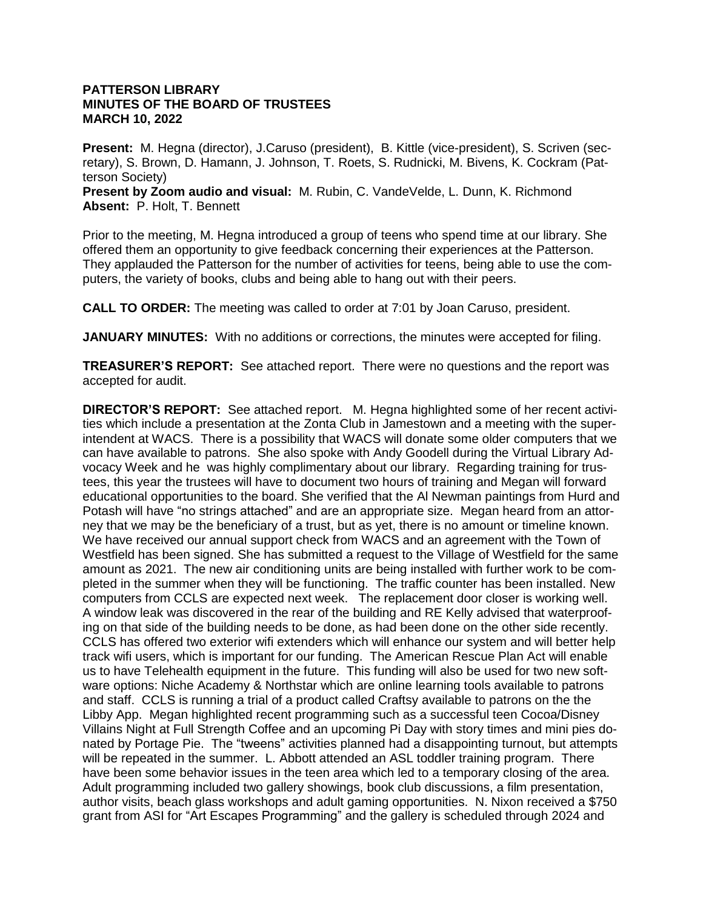#### **PATTERSON LIBRARY MINUTES OF THE BOARD OF TRUSTEES MARCH 10, 2022**

**Present:** M. Hegna (director), J.Caruso (president), B. Kittle (vice-president), S. Scriven (secretary), S. Brown, D. Hamann, J. Johnson, T. Roets, S. Rudnicki, M. Bivens, K. Cockram (Patterson Society) **Present by Zoom audio and visual:** M. Rubin, C. VandeVelde, L. Dunn, K. Richmond

**Absent:** P. Holt, T. Bennett

Prior to the meeting, M. Hegna introduced a group of teens who spend time at our library. She offered them an opportunity to give feedback concerning their experiences at the Patterson. They applauded the Patterson for the number of activities for teens, being able to use the computers, the variety of books, clubs and being able to hang out with their peers.

**CALL TO ORDER:** The meeting was called to order at 7:01 by Joan Caruso, president.

**JANUARY MINUTES:** With no additions or corrections, the minutes were accepted for filing.

**TREASURER'S REPORT:** See attached report. There were no questions and the report was accepted for audit.

**DIRECTOR'S REPORT:** See attached report. M. Hegna highlighted some of her recent activities which include a presentation at the Zonta Club in Jamestown and a meeting with the superintendent at WACS. There is a possibility that WACS will donate some older computers that we can have available to patrons. She also spoke with Andy Goodell during the Virtual Library Advocacy Week and he was highly complimentary about our library. Regarding training for trustees, this year the trustees will have to document two hours of training and Megan will forward educational opportunities to the board. She verified that the Al Newman paintings from Hurd and Potash will have "no strings attached" and are an appropriate size. Megan heard from an attorney that we may be the beneficiary of a trust, but as yet, there is no amount or timeline known. We have received our annual support check from WACS and an agreement with the Town of Westfield has been signed. She has submitted a request to the Village of Westfield for the same amount as 2021. The new air conditioning units are being installed with further work to be completed in the summer when they will be functioning. The traffic counter has been installed. New computers from CCLS are expected next week. The replacement door closer is working well. A window leak was discovered in the rear of the building and RE Kelly advised that waterproofing on that side of the building needs to be done, as had been done on the other side recently. CCLS has offered two exterior wifi extenders which will enhance our system and will better help track wifi users, which is important for our funding. The American Rescue Plan Act will enable us to have Telehealth equipment in the future. This funding will also be used for two new software options: Niche Academy & Northstar which are online learning tools available to patrons and staff. CCLS is running a trial of a product called Craftsy available to patrons on the the Libby App. Megan highlighted recent programming such as a successful teen Cocoa/Disney Villains Night at Full Strength Coffee and an upcoming Pi Day with story times and mini pies donated by Portage Pie. The "tweens" activities planned had a disappointing turnout, but attempts will be repeated in the summer. L. Abbott attended an ASL toddler training program. There have been some behavior issues in the teen area which led to a temporary closing of the area. Adult programming included two gallery showings, book club discussions, a film presentation, author visits, beach glass workshops and adult gaming opportunities. N. Nixon received a \$750 grant from ASI for "Art Escapes Programming" and the gallery is scheduled through 2024 and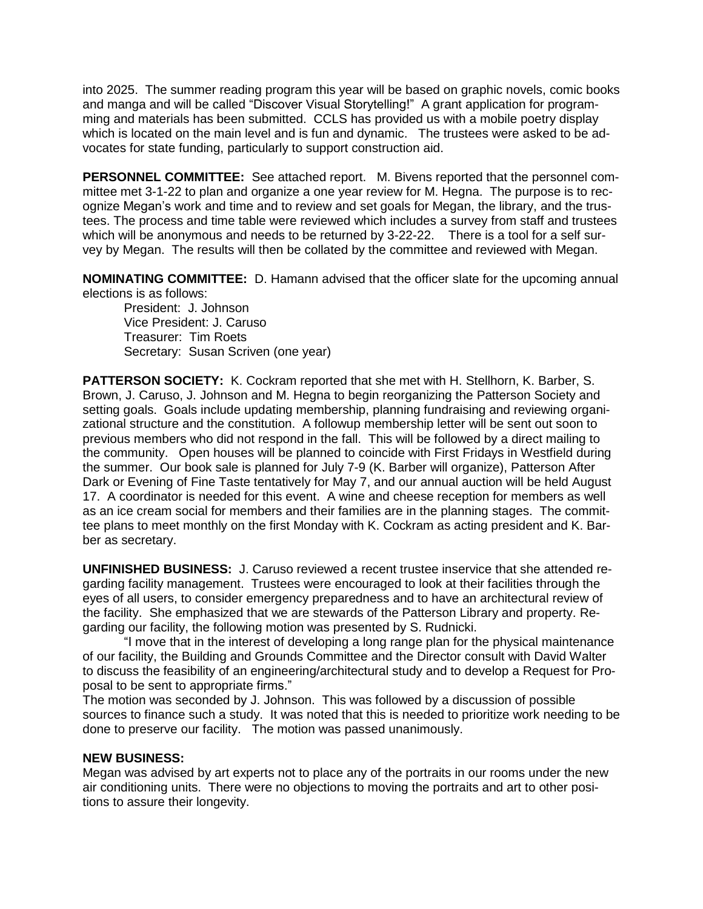into 2025. The summer reading program this year will be based on graphic novels, comic books and manga and will be called "Discover Visual Storytelling!" A grant application for programming and materials has been submitted. CCLS has provided us with a mobile poetry display which is located on the main level and is fun and dynamic. The trustees were asked to be advocates for state funding, particularly to support construction aid.

**PERSONNEL COMMITTEE:** See attached report. M. Bivens reported that the personnel committee met 3-1-22 to plan and organize a one year review for M. Hegna. The purpose is to recognize Megan's work and time and to review and set goals for Megan, the library, and the trustees. The process and time table were reviewed which includes a survey from staff and trustees which will be anonymous and needs to be returned by 3-22-22. There is a tool for a self survey by Megan. The results will then be collated by the committee and reviewed with Megan.

**NOMINATING COMMITTEE:** D. Hamann advised that the officer slate for the upcoming annual elections is as follows:

President: J. Johnson Vice President: J. Caruso Treasurer: Tim Roets Secretary: Susan Scriven (one year)

**PATTERSON SOCIETY:** K. Cockram reported that she met with H. Stellhorn, K. Barber, S. Brown, J. Caruso, J. Johnson and M. Hegna to begin reorganizing the Patterson Society and setting goals. Goals include updating membership, planning fundraising and reviewing organizational structure and the constitution. A followup membership letter will be sent out soon to previous members who did not respond in the fall. This will be followed by a direct mailing to the community. Open houses will be planned to coincide with First Fridays in Westfield during the summer. Our book sale is planned for July 7-9 (K. Barber will organize), Patterson After Dark or Evening of Fine Taste tentatively for May 7, and our annual auction will be held August 17. A coordinator is needed for this event. A wine and cheese reception for members as well as an ice cream social for members and their families are in the planning stages. The committee plans to meet monthly on the first Monday with K. Cockram as acting president and K. Barber as secretary.

**UNFINISHED BUSINESS:** J. Caruso reviewed a recent trustee inservice that she attended regarding facility management. Trustees were encouraged to look at their facilities through the eyes of all users, to consider emergency preparedness and to have an architectural review of the facility. She emphasized that we are stewards of the Patterson Library and property. Regarding our facility, the following motion was presented by S. Rudnicki.

"I move that in the interest of developing a long range plan for the physical maintenance of our facility, the Building and Grounds Committee and the Director consult with David Walter to discuss the feasibility of an engineering/architectural study and to develop a Request for Proposal to be sent to appropriate firms."

The motion was seconded by J. Johnson. This was followed by a discussion of possible sources to finance such a study. It was noted that this is needed to prioritize work needing to be done to preserve our facility. The motion was passed unanimously.

#### **NEW BUSINESS:**

Megan was advised by art experts not to place any of the portraits in our rooms under the new air conditioning units. There were no objections to moving the portraits and art to other positions to assure their longevity.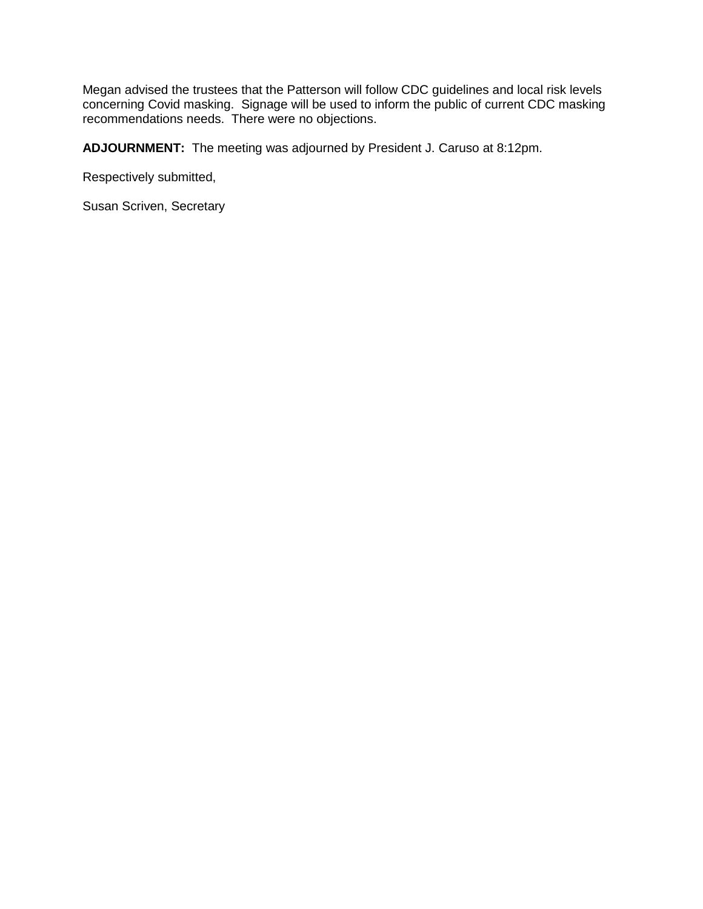Megan advised the trustees that the Patterson will follow CDC guidelines and local risk levels concerning Covid masking. Signage will be used to inform the public of current CDC masking recommendations needs. There were no objections.

**ADJOURNMENT:** The meeting was adjourned by President J. Caruso at 8:12pm.

Respectively submitted,

Susan Scriven, Secretary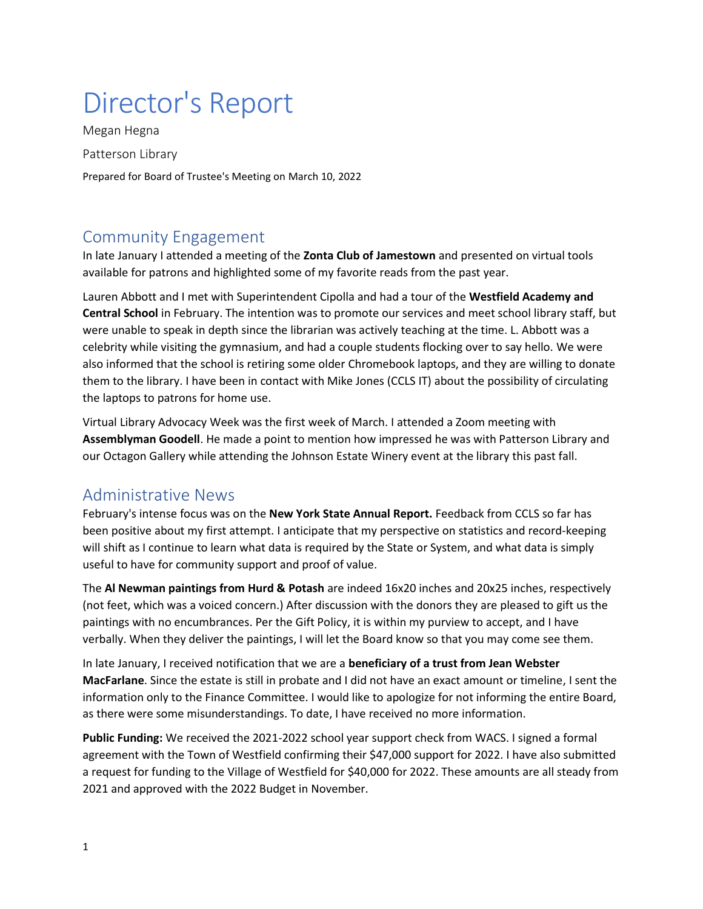# Director's Report

Megan Hegna Patterson Library Prepared for Board of Trustee's Meeting on March 10, 2022

## Community Engagement

In late January I attended a meeting of the **Zonta Club of Jamestown** and presented on virtual tools available for patrons and highlighted some of my favorite reads from the past year.

Lauren Abbott and I met with Superintendent Cipolla and had a tour of the **Westfield Academy and Central School** in February. The intention was to promote our services and meet school library staff, but were unable to speak in depth since the librarian was actively teaching at the time. L. Abbott was a celebrity while visiting the gymnasium, and had a couple students flocking over to say hello. We were also informed that the school is retiring some older Chromebook laptops, and they are willing to donate them to the library. I have been in contact with Mike Jones (CCLS IT) about the possibility of circulating the laptops to patrons for home use.

Virtual Library Advocacy Week was the first week of March. I attended a Zoom meeting with **Assemblyman Goodell**. He made a point to mention how impressed he was with Patterson Library and our Octagon Gallery while attending the Johnson Estate Winery event at the library this past fall.

### Administrative News

February's intense focus was on the **New York State Annual Report.** Feedback from CCLS so far has been positive about my first attempt. I anticipate that my perspective on statistics and record-keeping will shift as I continue to learn what data is required by the State or System, and what data is simply useful to have for community support and proof of value.

The **Al Newman paintings from Hurd & Potash** are indeed 16x20 inches and 20x25 inches, respectively (not feet, which was a voiced concern.) After discussion with the donors they are pleased to gift us the paintings with no encumbrances. Per the Gift Policy, it is within my purview to accept, and I have verbally. When they deliver the paintings, I will let the Board know so that you may come see them.

In late January, I received notification that we are a **beneficiary of a trust from Jean Webster MacFarlane**. Since the estate is still in probate and I did not have an exact amount or timeline, I sent the information only to the Finance Committee. I would like to apologize for not informing the entire Board, as there were some misunderstandings. To date, I have received no more information.

**Public Funding:** We received the 2021-2022 school year support check from WACS. I signed a formal agreement with the Town of Westfield confirming their \$47,000 support for 2022. I have also submitted a request for funding to the Village of Westfield for \$40,000 for 2022. These amounts are all steady from 2021 and approved with the 2022 Budget in November.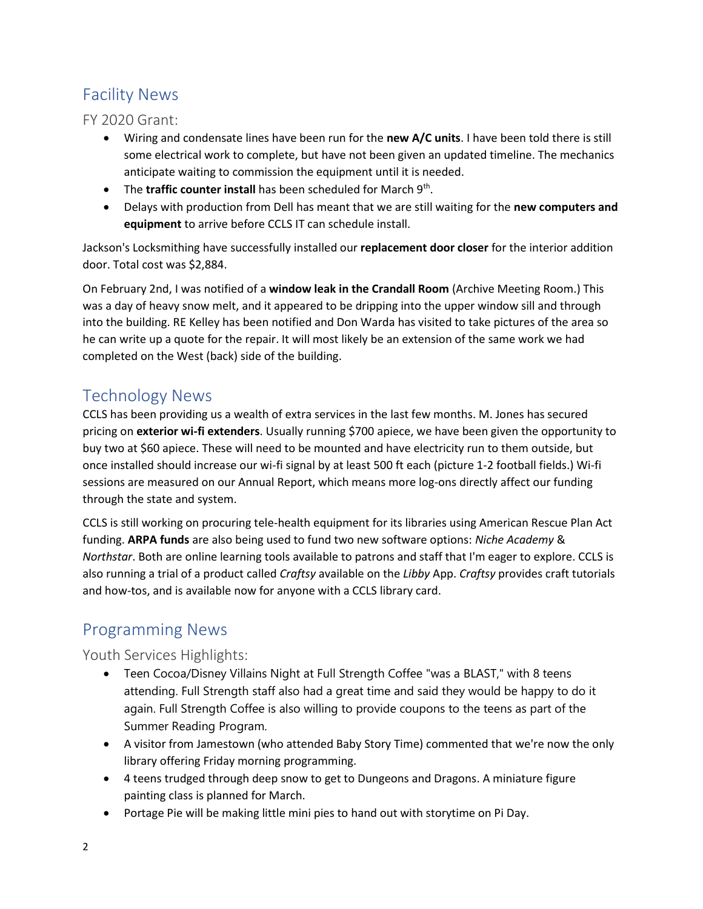# Facility News

FY 2020 Grant:

- Wiring and condensate lines have been run for the **new A/C units**. I have been told there is still some electrical work to complete, but have not been given an updated timeline. The mechanics anticipate waiting to commission the equipment until it is needed.
- The traffic counter install has been scheduled for March 9<sup>th</sup>.
- Delays with production from Dell has meant that we are still waiting for the **new computers and equipment** to arrive before CCLS IT can schedule install.

Jackson's Locksmithing have successfully installed our **replacement door closer** for the interior addition door. Total cost was \$2,884.

On February 2nd, I was notified of a **window leak in the Crandall Room** (Archive Meeting Room.) This was a day of heavy snow melt, and it appeared to be dripping into the upper window sill and through into the building. RE Kelley has been notified and Don Warda has visited to take pictures of the area so he can write up a quote for the repair. It will most likely be an extension of the same work we had completed on the West (back) side of the building.

### Technology News

CCLS has been providing us a wealth of extra services in the last few months. M. Jones has secured pricing on **exterior wi-fi extenders**. Usually running \$700 apiece, we have been given the opportunity to buy two at \$60 apiece. These will need to be mounted and have electricity run to them outside, but once installed should increase our wi-fi signal by at least 500 ft each (picture 1-2 football fields.) Wi-fi sessions are measured on our Annual Report, which means more log-ons directly affect our funding through the state and system.

CCLS is still working on procuring tele-health equipment for its libraries using American Rescue Plan Act funding. **ARPA funds** are also being used to fund two new software options: *Niche Academy* & *Northstar*. Both are online learning tools available to patrons and staff that I'm eager to explore. CCLS is also running a trial of a product called *Craftsy* available on the *Libby* App. *Craftsy* provides craft tutorials and how-tos, and is available now for anyone with a CCLS library card.

# Programming News

### Youth Services Highlights:

- Teen Cocoa/Disney Villains Night at Full Strength Coffee "was a BLAST," with 8 teens attending. Full Strength staff also had a great time and said they would be happy to do it again. Full Strength Coffee is also willing to provide coupons to the teens as part of the Summer Reading Program.
- A visitor from Jamestown (who attended Baby Story Time) commented that we're now the only library offering Friday morning programming.
- 4 teens trudged through deep snow to get to Dungeons and Dragons. A miniature figure painting class is planned for March.
- Portage Pie will be making little mini pies to hand out with storytime on Pi Day.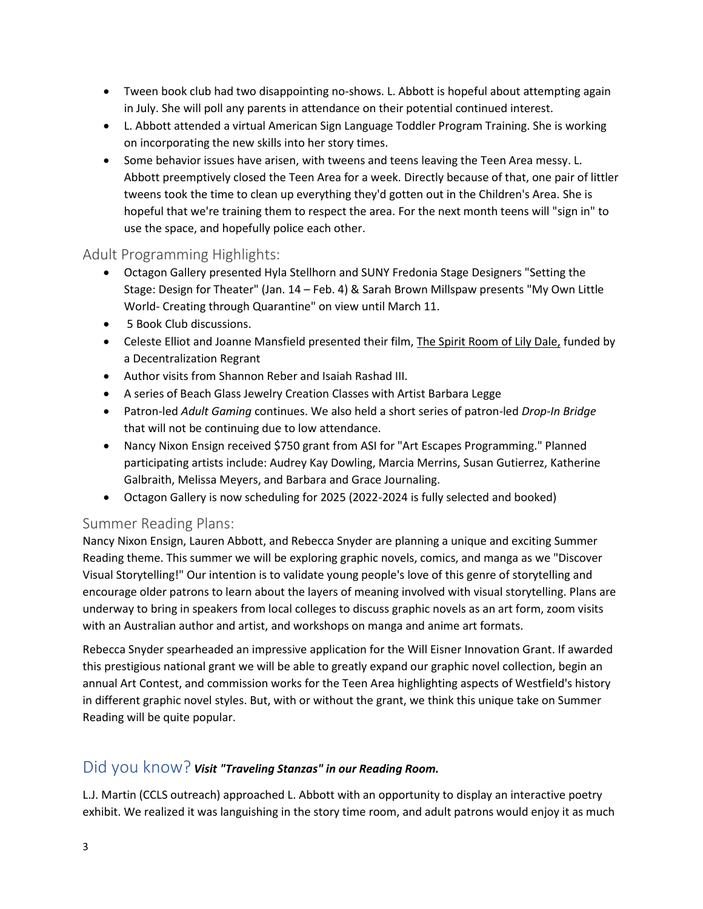- Tween book club had two disappointing no-shows. L. Abbott is hopeful about attempting again in July. She will poll any parents in attendance on their potential continued interest.
- L. Abbott attended a virtual American Sign Language Toddler Program Training. She is working on incorporating the new skills into her story times.
- Some behavior issues have arisen, with tweens and teens leaving the Teen Area messy. L. Abbott preemptively closed the Teen Area for a week. Directly because of that, one pair of littler tweens took the time to clean up everything they'd gotten out in the Children's Area. She is hopeful that we're training them to respect the area. For the next month teens will "sign in" to use the space, and hopefully police each other.

### Adult Programming Highlights:

- Octagon Gallery presented Hyla Stellhorn and SUNY Fredonia Stage Designers "Setting the Stage: Design for Theater" (Jan. 14 – Feb. 4) & Sarah Brown Millspaw presents "My Own Little World- Creating through Quarantine" on view until March 11.
- 5 Book Club discussions.
- Celeste Elliot and Joanne Mansfield presented their film, The Spirit Room of Lily Dale, funded by a Decentralization Regrant
- Author visits from Shannon Reber and Isaiah Rashad III.
- A series of Beach Glass Jewelry Creation Classes with Artist Barbara Legge
- Patron-led *Adult Gaming* continues. We also held a short series of patron-led *Drop-In Bridge* that will not be continuing due to low attendance.
- Nancy Nixon Ensign received \$750 grant from ASI for "Art Escapes Programming." Planned participating artists include: Audrey Kay Dowling, Marcia Merrins, Susan Gutierrez, Katherine Galbraith, Melissa Meyers, and Barbara and Grace Journaling.
- Octagon Gallery is now scheduling for 2025 (2022-2024 is fully selected and booked)

### Summer Reading Plans:

Nancy Nixon Ensign, Lauren Abbott, and Rebecca Snyder are planning a unique and exciting Summer Reading theme. This summer we will be exploring graphic novels, comics, and manga as we "Discover Visual Storytelling!" Our intention is to validate young people's love of this genre of storytelling and encourage older patrons to learn about the layers of meaning involved with visual storytelling. Plans are underway to bring in speakers from local colleges to discuss graphic novels as an art form, zoom visits with an Australian author and artist, and workshops on manga and anime art formats.

Rebecca Snyder spearheaded an impressive application for the Will Eisner Innovation Grant. If awarded this prestigious national grant we will be able to greatly expand our graphic novel collection, begin an annual Art Contest, and commission works for the Teen Area highlighting aspects of Westfield's history in different graphic novel styles. But, with or without the grant, we think this unique take on Summer Reading will be quite popular.

### Did you know? *Visit "Traveling Stanzas" in our Reading Room.*

L.J. Martin (CCLS outreach) approached L. Abbott with an opportunity to display an interactive poetry exhibit. We realized it was languishing in the story time room, and adult patrons would enjoy it as much